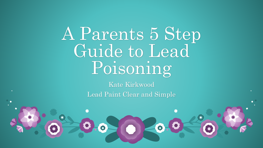A Parents 5 Step Guide to Lead Poisoning

> Kate Kirkwood Lead Paint Clear and Simple

> > \*

株

 $\bullet$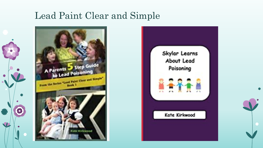#### Lead Paint Clear and Simple



 $\left| \bullet \right|$ 



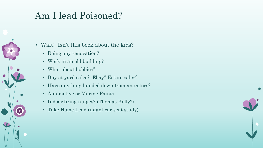#### Am I lead Poisoned?

• Wait! Isn't this book about the kids?

- Doing any renovation?
- Work in an old building?
- What about hobbies?
- Buy at yard sales? Ebay? Estate sales?
- Have anything handed down from ancestors?
- Automotive or Marine Paints
- Indoor firing ranges? (Thomas Kelly?)
- Take Home Lead (infant car seat study)

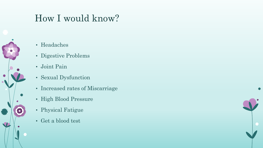#### How I would know?

- Headaches
- Digestive Problems
- Joint Pain
- Sexual Dysfunction
- Increased rates of Miscarriage
- High Blood Pressure
- Physical Fatigue
- Get a blood test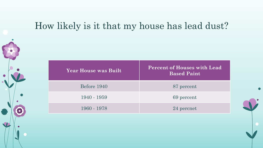#### How likely is it that my house has lead dust?

| <b>Year House was Built</b> | <b>Percent of Houses with Lead</b><br><b>Based Paint</b> |
|-----------------------------|----------------------------------------------------------|
| Before 1940                 | 87 percent                                               |
| 1940 - 1959                 | 69 percent                                               |
| 1960 - 1978                 | 24 percnet                                               |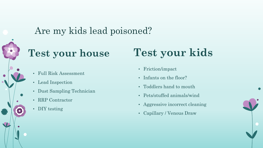#### Are my kids lead poisoned?

### **Test your house**

- Full Risk Assessment
- Lead Inspection
- Dust Sampling Technician
- RRP Contractor
- DIY testing

## **Test your kids**

- Friction/impact
- Infants on the floor?
- Toddlers hand to mouth
- Pets/stuffed animals/wind
- Aggressive incorrect cleaning
- Capillary / Venous Draw

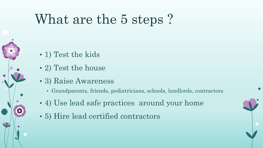# What are the 5 steps?

- 1) Test the kids
- 2) Test the house
- 3) Raise Awareness
	- Grandparents, friends, pediatricians, schools, landlords, contractors
- 4) Use lead safe practices around your home
- 5) Hire lead certified contractors